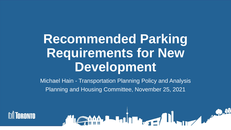# **Recommended Parking Requirements for New Development**

 Michael Hain - Transportation Planning Policy and Analysis Planning and Housing Committee, November 25, 2021

Jean Luisse II. 10

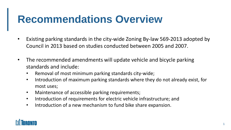### **Recommendations Overview**

- Existing parking standards in the city-wide Zoning By-law 569-2013 adopted by Council in 2013 based on studies conducted between 2005 and 2007.
- The recommended amendments will update vehicle and bicycle parking standards and include:
	- Removal of most minimum parking standards city-wide;
	- Introduction of maximum parking standards where they do not already exist, for most uses;
	- Maintenance of accessible parking requirements;
	- Introduction of requirements for electric vehicle infrastructure; and
	- • Introduction of a new mechanism to fund bike share expansion.

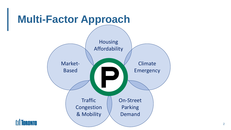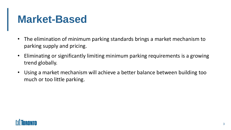### **Market-Based**

- The elimination of minimum parking standards brings a market mechanism to parking supply and pricing.
- • Eliminating or significantly limiting minimum parking requirements is a growing trend globally.
- • Using a market mechanism will achieve a better balance between building too much or too little parking.

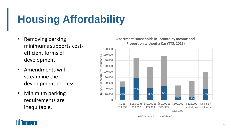## **Housing Affordability**

- Removing parking minimums supports costefficient forms of development.
- Amendments will streamline the development process.
- Minimum parking requirements are inequitable.

#### **Apartment Households in Toronto by Income and Proportion without a Car (TTS, 2016)**



■ Without a Car ■ With a Car

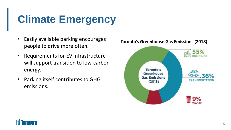### **Climate Emergency**

- Easily available parking encourages people to drive more often.
- • Requirements for EV infrastructure will support transition to low-carbon energy.
- • Parking itself contributes to GHG emissions.



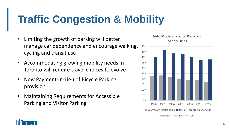### **Traffic Congestion & Mobility**

- Limiting the growth of parking will better manage car dependency and encourage walking, 50% cycling and transit use the contract of  $45\%$
- Accommodating growing mobility needs in  $35\%$ Toronto will require travel choices to evolve  $30\%$
- **New Payment-in-Lieu of Bicycle Parking**  $20\%$ provision and the settlement of the settlement of the settlement of the settlement of the settlement of the set
- Maintaining Requirements for Accessible  $^{5\%}$ Parking and Visitor Parking



Transportation Tomorrow Survey, 1986-2016

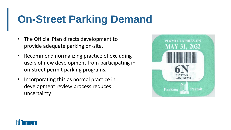### **On-Street Parking Demand**

- The Official Plan directs development to provide adequate parking on-site.
- • Recommend normalizing practice of excluding users of new development from participating in on-street permit parking programs.
- Incorporating this as normal practice in development review process reduces uncertainty